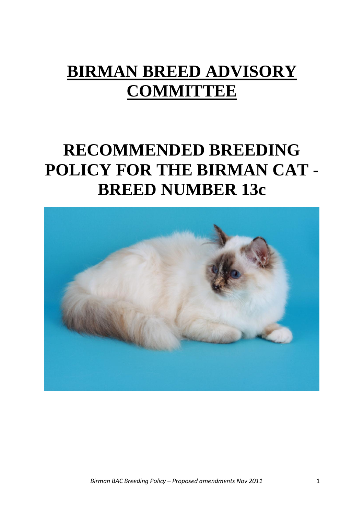# **BIRMAN BREED ADVISORY COMMITTEE**

# **RECOMMENDED BREEDING POLICY FOR THE BIRMAN CAT - BREED NUMBER 13c**

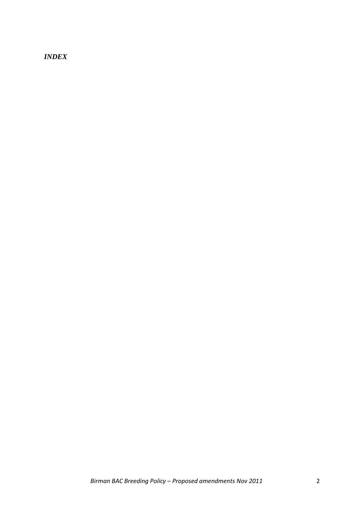*INDEX*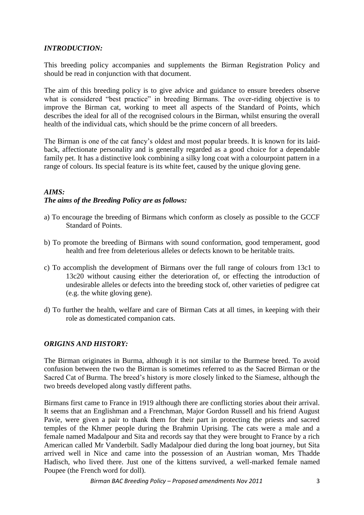# *INTRODUCTION:*

This breeding policy accompanies and supplements the Birman Registration Policy and should be read in conjunction with that document.

The aim of this breeding policy is to give advice and guidance to ensure breeders observe what is considered "best practice" in breeding Birmans. The over-riding objective is to improve the Birman cat, working to meet all aspects of the Standard of Points, which describes the ideal for all of the recognised colours in the Birman, whilst ensuring the overall health of the individual cats, which should be the prime concern of all breeders.

The Birman is one of the cat fancy's oldest and most popular breeds. It is known for its laidback, affectionate personality and is generally regarded as a good choice for a dependable family pet. It has a distinctive look combining a silky long coat with a colourpoint pattern in a range of colours. Its special feature is its white feet, caused by the unique gloving gene.

# *AIMS: The aims of the Breeding Policy are as follows:*

- a) To encourage the breeding of Birmans which conform as closely as possible to the GCCF Standard of Points.
- b) To promote the breeding of Birmans with sound conformation, good temperament, good health and free from deleterious alleles or defects known to be heritable traits.
- c) To accomplish the development of Birmans over the full range of colours from 13c1 to 13c20 without causing either the deterioration of, or effecting the introduction of undesirable alleles or defects into the breeding stock of, other varieties of pedigree cat (e.g. the white gloving gene).
- d) To further the health, welfare and care of Birman Cats at all times, in keeping with their role as domesticated companion cats.

# *ORIGINS AND HISTORY:*

The Birman originates in Burma, although it is not similar to the Burmese breed. To avoid confusion between the two the Birman is sometimes referred to as the Sacred Birman or the Sacred Cat of Burma. The breed's history is more closely linked to the Siamese, although the two breeds developed along vastly different paths.

Birmans first came to France in 1919 although there are conflicting stories about their arrival. It seems that an Englishman and a Frenchman, Major Gordon Russell and his friend August Pavie, were given a pair to thank them for their part in protecting the priests and sacred temples of the Khmer people during the Brahmin Uprising. The cats were a male and a female named Madalpour and Sita and records say that they were brought to France by a rich American called Mr Vanderbilt. Sadly Madalpour died during the long boat journey, but Sita arrived well in Nice and came into the possession of an Austrian woman, Mrs Thadde Hadisch, who lived there. Just one of the kittens survived, a well-marked female named Poupee (the French word for doll).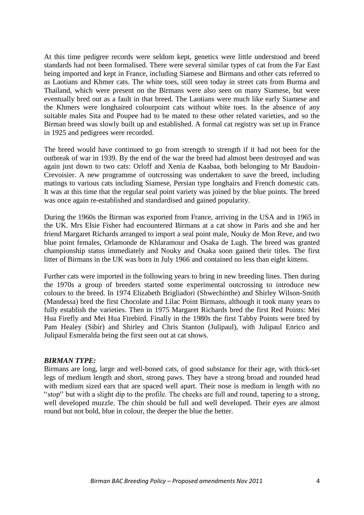At this time pedigree records were seldom kept, genetics were little understood and breed standards had not been formalised. There were several similar types of cat from the Far East being imported and kept in France, including Siamese and Birmans and other cats referred to as Laotians and Khmer cats. The white toes, still seen today in street cats from Burma and Thailand, which were present on the Birmans were also seen on many Siamese, but were eventually bred out as a fault in that breed. The Laotians were much like early Siamese and the Khmers were longhaired colourpoint cats without white toes. In the absence of any suitable males Sita and Poupee had to be mated to these other related varieties, and so the Birman breed was slowly built up and established. A formal cat registry was set up in France in 1925 and pedigrees were recorded.

The breed would have continued to go from strength to strength if it had not been for the outbreak of war in 1939. By the end of the war the breed had almost been destroyed and was again just down to two cats: Orloff and Xenia de Kaabaa, both belonging to Mr Baudoin-Crevoisier. A new programme of outcrossing was undertaken to save the breed, including matings to various cats including Siamese, Persian type longhairs and French domestic cats. It was at this time that the regular seal point variety was joined by the blue points. The breed was once again re-established and standardised and gained popularity.

During the 1960s the Birman was exported from France, arriving in the USA and in 1965 in the UK. Mrs Elsie Fisher had encountered Birmans at a cat show in Paris and she and her friend Margaret Richards arranged to import a seal point male, Nouky de Mon Reve, and two blue point females, Orlamonde de Khlaramour and Osaka de Lugh. The breed was granted championship status immediately and Nouky and Osaka soon gained their titles. The first litter of Birmans in the UK was born in July 1966 and contained no less than eight kittens.

Further cats were imported in the following years to bring in new breeding lines. Then during the 1970s a group of breeders started some experimental outcrossing to introduce new colours to the breed. In 1974 Elizabeth Brigliadori (Shwechinthe) and Shirley Wilson-Smith (Mandessa) bred the first Chocolate and Lilac Point Birmans, although it took many years to fully establish the varieties. Then in 1975 Margaret Richards bred the first Red Points: Mei Hua Firefly and Mei Hua Firebird. Finally in the 1980s the first Tabby Points were bred by Pam Healey (Sibir) and Shirley and Chris Stanton (Julipaul), with Julipaul Enrico and Julipaul Esmeralda being the first seen out at cat shows.

#### *BIRMAN TYPE:*

Birmans are long, large and well-boned cats, of good substance for their age, with thick-set legs of medium length and short, strong paws. They have a strong broad and rounded head with medium sized ears that are spaced well apart. Their nose is medium in length with no ''stop'' but with a slight dip to the profile. The cheeks are full and round, tapering to a strong, well developed muzzle. The chin should be full and well developed. Their eyes are almost round but not bold, blue in colour, the deeper the blue the better.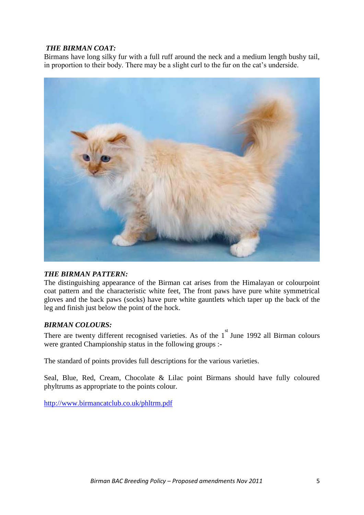# *THE BIRMAN COAT:*

Birmans have long silky fur with a full ruff around the neck and a medium length bushy tail, in proportion to their body. There may be a slight curl to the fur on the cat's underside.



# *THE BIRMAN PATTERN:*

The distinguishing appearance of the Birman cat arises from the Himalayan or colourpoint coat pattern and the characteristic white feet, The front paws have pure white symmetrical gloves and the back paws (socks) have pure white gauntlets which taper up the back of the leg and finish just below the point of the hock.

# *BIRMAN COLOURS:*

There are twenty different recognised varieties. As of the  $1<sup>st</sup>$  June 1992 all Birman colours were granted Championship status in the following groups :-

The standard of points provides full descriptions for the various varieties.

Seal, Blue, Red, Cream, Chocolate & Lilac point Birmans should have fully coloured phyltrums as appropriate to the points colour.

<http://www.birmancatclub.co.uk/phltrm.pdf>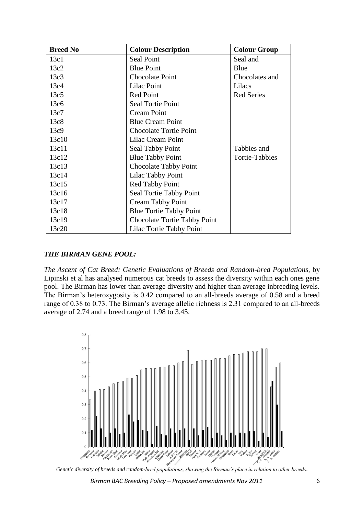| <b>Breed No</b> | <b>Colour Description</b>      | <b>Colour Group</b>   |
|-----------------|--------------------------------|-----------------------|
| 13c1            | Seal Point                     | Seal and              |
| 13c2            | <b>Blue Point</b>              | Blue                  |
| 13c3            | <b>Chocolate Point</b>         | Chocolates and        |
| 13c4            | Lilac Point                    | Lilacs                |
| 13c5            | Red Point                      | <b>Red Series</b>     |
| 13c6            | Seal Tortie Point              |                       |
| 13c7            | <b>Cream Point</b>             |                       |
| 13c8            | <b>Blue Cream Point</b>        |                       |
| 13c9            | <b>Chocolate Tortie Point</b>  |                       |
| 13c10           | Lilac Cream Point              |                       |
| 13c11           | Seal Tabby Point               | Tabbies and           |
| 13c12           | <b>Blue Tabby Point</b>        | <b>Tortie-Tabbies</b> |
| 13c13           | Chocolate Tabby Point          |                       |
| 13c14           | Lilac Tabby Point              |                       |
| 13c15           | <b>Red Tabby Point</b>         |                       |
| 13c16           | Seal Tortie Tabby Point        |                       |
| 13c17           | <b>Cream Tabby Point</b>       |                       |
| 13c18           | <b>Blue Tortie Tabby Point</b> |                       |
| 13c19           | Chocolate Tortie Tabby Point   |                       |
| 13c20           | Lilac Tortie Tabby Point       |                       |

## *THE BIRMAN GENE POOL:*

*The Ascent of Cat Breed: Genetic Evaluations of Breeds and Random-bred Populations,* by Lipinski et al has analysed numerous cat breeds to assess the diversity within each ones gene pool. The Birman has lower than average diversity and higher than average inbreeding levels. The Birman's heterozygosity is 0.42 compared to an all-breeds average of 0.58 and a breed range of 0.38 to 0.73. The Birman's average allelic richness is 2.31 compared to an all-breeds average of 2.74 and a breed range of 1.98 to 3.45.



*Genetic diversity of breeds and random-bred populations, showing the Birman's place in relation to other breeds.*

*Birman BAC Breeding Policy – Proposed amendments Nov 2011* 6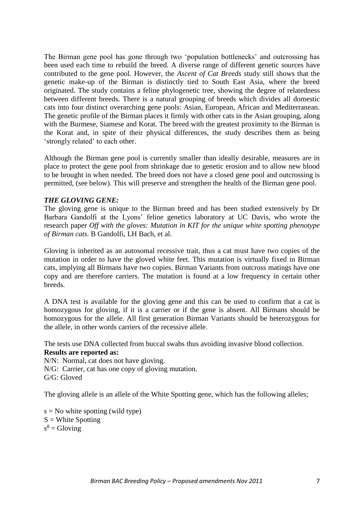The Birman gene pool has gone through two 'population bottlenecks' and outcrossing has been used each time to rebuild the breed. A diverse range of different genetic sources have contributed to the gene pool. However, the *Ascent of Cat Breeds* study still shows that the genetic make-up of the Birman is distinctly tied to South East Asia, where the breed originated. The study contains a feline phylogenetic tree, showing the degree of relatedness between different breeds. There is a natural grouping of breeds which divides all domestic cats into four distinct overarching gene pools: Asian, European, African and Mediterranean. The genetic profile of the Birman places it firmly with other cats in the Asian grouping, along with the Burmese, Siamese and Korat. The breed with the greatest proximity to the Birman is the Korat and, in spite of their physical differences, the study describes them as being 'strongly related' to each other.

Although the Birman gene pool is currently smaller than ideally desirable, measures are in place to protect the gene pool from shrinkage due to genetic erosion and to allow new blood to be brought in when needed. The breed does not have a closed gene pool and outcrossing is permitted, (see below). This will preserve and strengthen the health of the Birman gene pool.

#### *THE GLOVING GENE:*

The gloving gene is unique to the Birman breed and has been studied extensively by Dr Barbara Gandolfi at the Lyons' feline genetics laboratory at UC Davis, who wrote the research paper *Off with the gloves: Mutation in KIT for the unique white spotting phenotype of Birman cats*. B Gandolfi, LH Bach, et al.

Gloving is inherited as an autosomal recessive trait, thus a cat must have two copies of the mutation in order to have the gloved white feet. This mutation is virtually fixed in Birman cats, implying all Birmans have two copies. Birman Variants from outcross matings have one copy and are therefore carriers. The mutation is found at a low frequency in certain other breeds.

A DNA test is available for the gloving gene and this can be used to confirm that a cat is homozygous for gloving, if it is a carrier or if the gene is absent. All Birmans should be homozygous for the allele. All first generation Birman Variants should be heterozygous for the allele, in other words carriers of the recessive allele.

The tests use DNA collected from buccal swabs thus avoiding invasive blood collection.

#### **Results are reported as:**

N/N: Normal, cat does not have gloving. N/G: Carrier, cat has one copy of gloving mutation. G/G: Gloved

The gloving allele is an allele of the White Spotting gene, which has the following alleles;

 $s = No$  white spotting (wild type)  $S =$  White Spotting  $s^g =$  Gloving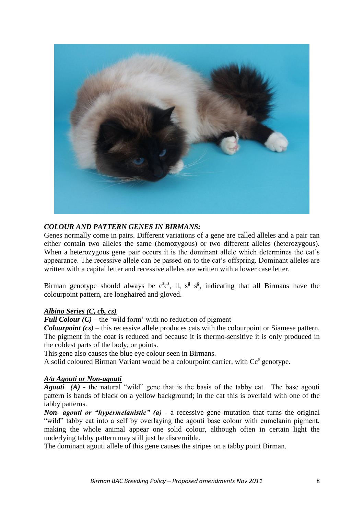

# *COLOUR AND PATTERN GENES IN BIRMANS:*

Genes normally come in pairs. Different variations of a gene are called alleles and a pair can either contain two alleles the same (homozygous) or two different alleles (heterozygous). When a heterozygous gene pair occurs it is the dominant allele which determines the cat's appearance. The recessive allele can be passed on to the cat's offspring. Dominant alleles are written with a capital letter and recessive alleles are written with a lower case letter.

Birman genotype should always be  $c^s c^s$ , ll,  $s^g s^s$ , indicating that all Birmans have the colourpoint pattern, are longhaired and gloved.

# *Albino Series (C, cb, cs)*

*Full Colour (C)* – the 'wild form' with no reduction of pigment

*Colourpoint (cs)* – this recessive allele produces cats with the colourpoint or Siamese pattern. The pigment in the coat is reduced and because it is thermo-sensitive it is only produced in the coldest parts of the body, or points.

This gene also causes the blue eye colour seen in Birmans.

A solid coloured Birman Variant would be a colourpoint carrier, with Cc<sup>s</sup> genotype.

#### *A/a Agouti or Non-agouti*

*Agouti (A)* - the natural "wild" gene that is the basis of the tabby cat. The base agouti pattern is bands of black on a yellow background; in the cat this is overlaid with one of the tabby patterns.

*Non- agouti or "hypermelanistic" (a)* - a recessive gene mutation that turns the original "wild" tabby cat into a self by overlaying the agouti base colour with eumelanin pigment, making the whole animal appear one solid colour, although often in certain light the underlying tabby pattern may still just be discernible.

The dominant agouti allele of this gene causes the stripes on a tabby point Birman.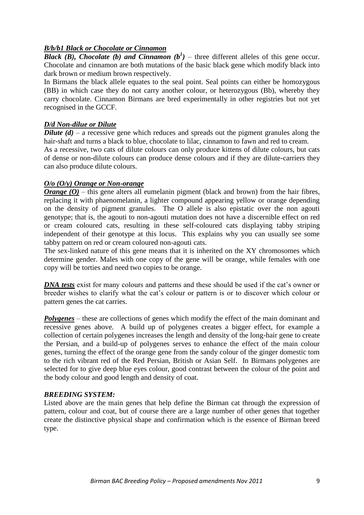# *B/b/b1 Black or Chocolate or Cinnamon*

**Black (B), Chocolate (b) and Cinnamon (** $b^1$ **)** – three different alleles of this gene occur. Chocolate and cinnamon are both mutations of the basic black gene which modify black into dark brown or medium brown respectively.

In Birmans the black allele equates to the seal point. Seal points can either be homozygous (BB) in which case they do not carry another colour, or heterozygous (Bb), whereby they carry chocolate. Cinnamon Birmans are bred experimentally in other registries but not yet recognised in the GCCF.

## *D/d Non-dilue or Dilute*

*Dilute (d)* – a recessive gene which reduces and spreads out the pigment granules along the hair-shaft and turns a black to blue, chocolate to lilac, cinnamon to fawn and red to cream. As a recessive, two cats of dilute colours can only produce kittens of dilute colours, but cats

of dense or non-dilute colours can produce dense colours and if they are dilute-carriers they can also produce dilute colours.

## *O/o (O/y) Orange or Non-orange*

*Orange* (*O*) – this gene alters all eumelanin pigment (black and brown) from the hair fibres, replacing it with phaenomelanin, a lighter compound appearing yellow or orange depending on the density of pigment granules. The O allele is also epistatic over the non agouti genotype; that is, the agouti to non-agouti mutation does not have a discernible effect on red or cream coloured cats, resulting in these self-coloured cats displaying tabby striping independent of their genotype at this locus. This explains why you can usually see some tabby pattern on red or cream coloured non-agouti cats.

The sex-linked nature of this gene means that it is inherited on the XY chromosomes which determine gender. Males with one copy of the gene will be orange, while females with one copy will be torties and need two copies to be orange.

**DNA tests** exist for many colours and patterns and these should be used if the cat's owner or breeder wishes to clarify what the cat's colour or pattern is or to discover which colour or pattern genes the cat carries.

*Polygenes* – these are collections of genes which modify the effect of the main dominant and recessive genes above. A build up of polygenes creates a bigger effect, for example a collection of certain polygenes increases the length and density of the long-hair gene to create the Persian, and a build-up of polygenes serves to enhance the effect of the main colour genes, turning the effect of the orange gene from the sandy colour of the ginger domestic tom to the rich vibrant red of the Red Persian, British or Asian Self. In Birmans polygenes are selected for to give deep blue eyes colour, good contrast between the colour of the point and the body colour and good length and density of coat.

#### *BREEDING SYSTEM:*

Listed above are the main genes that help define the Birman cat through the expression of pattern, colour and coat, but of course there are a large number of other genes that together create the distinctive physical shape and confirmation which is the essence of Birman breed type.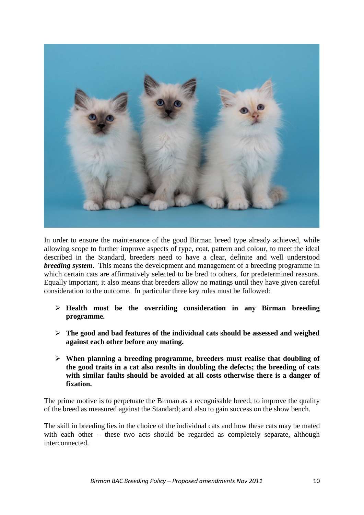

In order to ensure the maintenance of the good Birman breed type already achieved, while allowing scope to further improve aspects of type, coat, pattern and colour, to meet the ideal described in the Standard, breeders need to have a clear, definite and well understood *breeding system*. This means the development and management of a breeding programme in which certain cats are affirmatively selected to be bred to others, for predetermined reasons. Equally important, it also means that breeders allow no matings until they have given careful consideration to the outcome. In particular three key rules must be followed:

- **Health must be the overriding consideration in any Birman breeding programme.**
- **The good and bad features of the individual cats should be assessed and weighed against each other before any mating.**
- **When planning a breeding programme, breeders must realise that doubling of the good traits in a cat also results in doubling the defects; the breeding of cats with similar faults should be avoided at all costs otherwise there is a danger of fixation.**

The prime motive is to perpetuate the Birman as a recognisable breed; to improve the quality of the breed as measured against the Standard; and also to gain success on the show bench.

The skill in breeding lies in the choice of the individual cats and how these cats may be mated with each other – these two acts should be regarded as completely separate, although interconnected.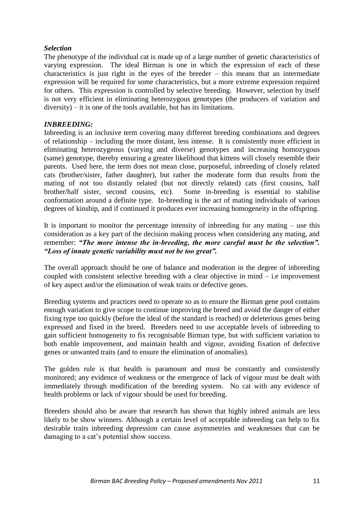## *Selection*

The phenotype of the individual cat is made up of a large number of genetic characteristics of varying expression. The ideal Birman is one in which the expression of each of these characteristics is just right in the eyes of the breeder – this means that an intermediate expression will be required for some characteristics, but a more extreme expression required for others. This expression is controlled by selective breeding. However, selection by itself is not very efficient in eliminating heterozygous genotypes (the producers of variation and diversity) – it is one of the tools available, but has its limitations.

## *INBREEDING:*

Inbreeding is an inclusive term covering many different breeding combinations and degrees of relationship – including the more distant, less intense. It is consistently more efficient in eliminating heterozygeous (varying and diverse) genotypes and increasing homozygous (same) genotype, thereby ensuring a greater likelihood that kittens will closely resemble their parents. Used here, the term does not mean close, purposeful, inbreeding of closely related cats (brother/sister, father daughter), but rather the moderate form that results from the mating of not too distantly related (but not directly related) cats (first cousins, half brother/half sister, second cousins, etc). Some in-breeding is essential to stabilise conformation around a definite type. In-breeding is the act of mating individuals of various degrees of kinship, and if continued it produces ever increasing homogeneity in the offspring.

It is important to monitor the percentage intensity of inbreeding for any mating – use this consideration as a key part of the decision making process when considering any mating, and remember: *"The more intense the in-breeding, the more careful must be the selection". "Loss of innate genetic variability must not be too great".*

The overall approach should be one of balance and moderation in the degree of inbreeding coupled with consistent selective breeding with a clear objective in mind – i.e improvement of key aspect and/or the elimination of weak traits or defective genes.

Breeding systems and practices need to operate so as to ensure the Birman gene pool contains enough variation to give scope to continue improving the breed and avoid the danger of either fixing type too quickly (before the ideal of the standard is reached) or deleterious genes being expressed and fixed in the breed. Breeders need to use acceptable levels of inbreeding to gain sufficient homogeneity to fix recognisable Birman type, but with sufficient variation to both enable improvement, and maintain health and vigour, avoiding fixation of defective genes or unwanted traits (and to ensure the elimination of anomalies).

The golden rule is that health is paramount and must be constantly and consistently monitored; any evidence of weakness or the emergence of lack of vigour must be dealt with immediately through modification of the breeding system. No cat with any evidence of health problems or lack of vigour should be used for breeding.

Breeders should also be aware that research has shown that highly inbred animals are less likely to be show winners. Although a certain level of acceptable inbreeding can help to fix desirable traits inbreeding depression can cause asymmetries and weaknesses that can be damaging to a cat's potential show success.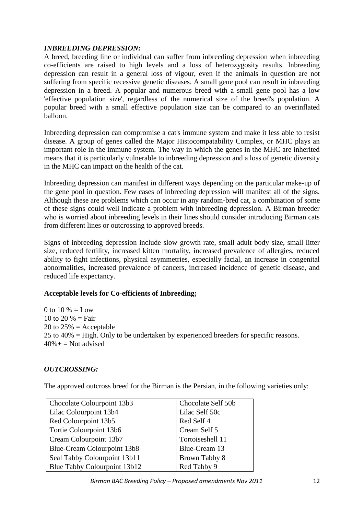# *INBREEDING DEPRESSION:*

A breed, breeding line or individual can suffer from inbreeding depression when inbreeding co-efficients are raised to high levels and a loss of heterozygosity results. Inbreeding depression can result in a general loss of vigour, even if the animals in question are not suffering from specific recessive genetic diseases. A small gene pool can result in inbreeding depression in a breed. A popular and numerous breed with a small gene pool has a low 'effective population size', regardless of the numerical size of the breed's population. A popular breed with a small effective population size can be compared to an overinflated balloon.

Inbreeding depression can compromise a cat's immune system and make it less able to resist disease. A group of genes called the Major Histocompatability Complex, or MHC plays an important role in the immune system. The way in which the genes in the MHC are inherited means that it is particularly vulnerable to inbreeding depression and a loss of genetic diversity in the MHC can impact on the health of the cat.

Inbreeding depression can manifest in different ways depending on the particular make-up of the gene pool in question. Few cases of inbreeding depression will manifest all of the signs. Although these are problems which can occur in any random-bred cat, a combination of some of these signs could well indicate a problem with inbreeding depression. A Birman breeder who is worried about inbreeding levels in their lines should consider introducing Birman cats from different lines or outcrossing to approved breeds.

Signs of inbreeding depression include slow growth rate, small adult body size, small litter size, reduced fertility, increased kitten mortality, increased prevalence of allergies, reduced ability to fight infections, physical asymmetries, especially facial, an increase in congenital abnormalities, increased prevalence of cancers, increased incidence of genetic disease, and reduced life expectancy.

# **Acceptable levels for Co-efficients of Inbreeding;**

0 to 10  $% =$  Low 10 to 20  $% = \text{Fair}$ 20 to  $25\%$  = Acceptable 25 to 40% = High. Only to be undertaken by experienced breeders for specific reasons.  $40\% +$  = Not advised

# *OUTCROSSING:*

The approved outcross breed for the Birman is the Persian, in the following varieties only:

| Chocolate Colourpoint 13b3   | Chocolate Self 50b |  |
|------------------------------|--------------------|--|
| Lilac Colourpoint 13b4       | Lilac Self 50c     |  |
| Red Colourpoint 13b5         | Red Self 4         |  |
| Tortie Colourpoint 13b6      | Cream Self 5       |  |
| Cream Colourpoint 13b7       | Tortoiseshell 11   |  |
| Blue-Cream Colourpoint 13b8  | Blue-Cream 13      |  |
| Seal Tabby Colourpoint 13b11 | Brown Tabby 8      |  |
| Blue Tabby Colourpoint 13b12 | Red Tabby 9        |  |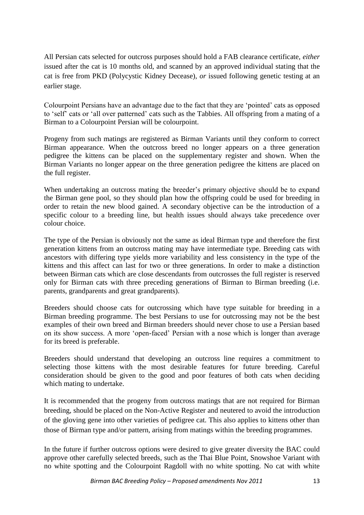All Persian cats selected for outcross purposes should hold a FAB clearance certificate, *either* issued after the cat is 10 months old, and scanned by an approved individual stating that the cat is free from PKD (Polycystic Kidney Decease), *or* issued following genetic testing at an earlier stage.

Colourpoint Persians have an advantage due to the fact that they are 'pointed' cats as opposed to 'self' cats or 'all over patterned' cats such as the Tabbies. All offspring from a mating of a Birman to a Colourpoint Persian will be colourpoint.

Progeny from such matings are registered as Birman Variants until they conform to correct Birman appearance. When the outcross breed no longer appears on a three generation pedigree the kittens can be placed on the supplementary register and shown. When the Birman Variants no longer appear on the three generation pedigree the kittens are placed on the full register.

When undertaking an outcross mating the breeder's primary objective should be to expand the Birman gene pool, so they should plan how the offspring could be used for breeding in order to retain the new blood gained. A secondary objective can be the introduction of a specific colour to a breeding line, but health issues should always take precedence over colour choice.

The type of the Persian is obviously not the same as ideal Birman type and therefore the first generation kittens from an outcross mating may have intermediate type. Breeding cats with ancestors with differing type yields more variability and less consistency in the type of the kittens and this affect can last for two or three generations. In order to make a distinction between Birman cats which are close descendants from outcrosses the full register is reserved only for Birman cats with three preceding generations of Birman to Birman breeding (i.e. parents, grandparents and great grandparents).

Breeders should choose cats for outcrossing which have type suitable for breeding in a Birman breeding programme. The best Persians to use for outcrossing may not be the best examples of their own breed and Birman breeders should never chose to use a Persian based on its show success. A more 'open-faced' Persian with a nose which is longer than average for its breed is preferable.

Breeders should understand that developing an outcross line requires a commitment to selecting those kittens with the most desirable features for future breeding. Careful consideration should be given to the good and poor features of both cats when deciding which mating to undertake.

It is recommended that the progeny from outcross matings that are not required for Birman breeding, should be placed on the Non-Active Register and neutered to avoid the introduction of the gloving gene into other varieties of pedigree cat. This also applies to kittens other than those of Birman type and/or pattern, arising from matings within the breeding programmes.

In the future if further outcross options were desired to give greater diversity the BAC could approve other carefully selected breeds, such as the Thai Blue Point, Snowshoe Variant with no white spotting and the Colourpoint Ragdoll with no white spotting. No cat with white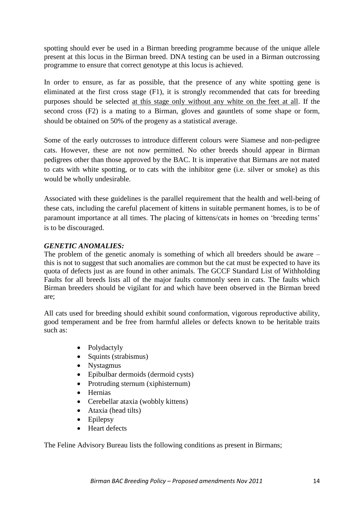spotting should ever be used in a Birman breeding programme because of the unique allele present at this locus in the Birman breed. DNA testing can be used in a Birman outcrossing programme to ensure that correct genotype at this locus is achieved.

In order to ensure, as far as possible, that the presence of any white spotting gene is eliminated at the first cross stage (F1), it is strongly recommended that cats for breeding purposes should be selected at this stage only without any white on the feet at all. If the second cross (F2) is a mating to a Birman, gloves and gauntlets of some shape or form, should be obtained on 50% of the progeny as a statistical average.

Some of the early outcrosses to introduce different colours were Siamese and non-pedigree cats. However, these are not now permitted. No other breeds should appear in Birman pedigrees other than those approved by the BAC. It is imperative that Birmans are not mated to cats with white spotting, or to cats with the inhibitor gene (i.e. silver or smoke) as this would be wholly undesirable.

Associated with these guidelines is the parallel requirement that the health and well-being of these cats, including the careful placement of kittens in suitable permanent homes, is to be of paramount importance at all times. The placing of kittens/cats in homes on 'breeding terms' is to be discouraged.

# *GENETIC ANOMALIES:*

The problem of the genetic anomaly is something of which all breeders should be aware – this is not to suggest that such anomalies are common but the cat must be expected to have its quota of defects just as are found in other animals. The GCCF Standard List of Withholding Faults for all breeds lists all of the major faults commonly seen in cats. The faults which Birman breeders should be vigilant for and which have been observed in the Birman breed are;

All cats used for breeding should exhibit sound conformation, vigorous reproductive ability, good temperament and be free from harmful alleles or defects known to be heritable traits such as:

- Polydactyly
- Squints (strabismus)
- Nystagmus
- Epibulbar dermoids (dermoid cysts)
- Protruding sternum (xiphisternum)
- Hernias
- Cerebellar ataxia (wobbly kittens)
- Ataxia (head tilts)
- Epilepsy
- Heart defects

The Feline Advisory Bureau lists the following conditions as present in Birmans;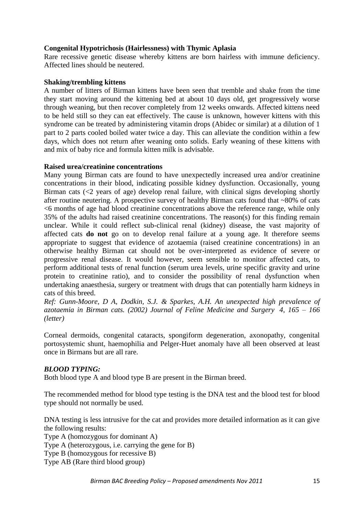# **Congenital Hypotrichosis (Hairlessness) with Thymic Aplasia**

Rare recessive genetic disease whereby kittens are born hairless with immune deficiency. Affected lines should be neutered.

# **Shaking/trembling kittens**

A number of litters of Birman kittens have been seen that tremble and shake from the time they start moving around the kittening bed at about 10 days old, get progressively worse through weaning, but then recover completely from 12 weeks onwards. Affected kittens need to be held still so they can eat effectively. The cause is unknown, however kittens with this syndrome can be treated by administering vitamin drops (Abidec or similar) at a dilution of 1 part to 2 parts cooled boiled water twice a day. This can alleviate the condition within a few days, which does not return after weaning onto solids. Early weaning of these kittens with and mix of baby rice and formula kitten milk is advisable.

# **Raised urea/creatinine concentrations**

Many young Birman cats are found to have unexpectedly increased urea and/or creatinine concentrations in their blood, indicating possible kidney dysfunction. Occasionally, young Birman cats  $\langle \langle 2 \rangle$  years of age) develop renal failure, with clinical signs developing shortly after routine neutering. A prospective survey of healthy Birman cats found that  $\sim80\%$  of cats <6 months of age had blood creatinine concentrations above the reference range, while only 35% of the adults had raised creatinine concentrations. The reason(s) for this finding remain unclear. While it could reflect sub-clinical renal (kidney) disease, the vast majority of affected cats **do not** go on to develop renal failure at a young age. It therefore seems appropriate to suggest that evidence of azotaemia (raised creatinine concentrations) in an otherwise healthy Birman cat should not be over-interpreted as evidence of severe or progressive renal disease. It would however, seem sensible to monitor affected cats, to perform additional tests of renal function (serum urea levels, urine specific gravity and urine protein to creatinine ratio), and to consider the possibility of renal dysfunction when undertaking anaesthesia, surgery or treatment with drugs that can potentially harm kidneys in cats of this breed.

*Ref: Gunn-Moore, D A, Dodkin, S.J. & Sparkes, A.H. An unexpected high prevalence of azotaemia in Birman cats. (2002) Journal of Feline Medicine and Surgery 4, 165 – 166 (letter)*

Corneal dermoids, congenital cataracts, spongiform degeneration, axonopathy, congenital portosystemic shunt, haemophilia and Pelger-Huet anomaly have all been observed at least once in Birmans but are all rare.

# *BLOOD TYPING:*

Both blood type A and blood type B are present in the Birman breed.

The recommended method for blood type testing is the DNA test and the blood test for blood type should not normally be used.

DNA testing is less intrusive for the cat and provides more detailed information as it can give the following results: Type A (homozygous for dominant A) Type A (heterozygous, i.e. carrying the gene for B) Type B (homozygous for recessive B) Type AB (Rare third blood group)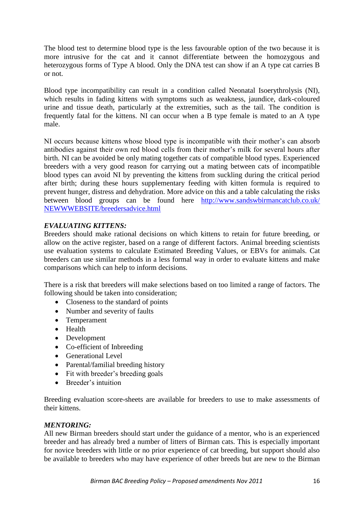The blood test to determine blood type is the less favourable option of the two because it is more intrusive for the cat and it cannot differentiate between the homozygous and heterozygous forms of Type A blood. Only the DNA test can show if an A type cat carries B or not.

Blood type incompatibility can result in a condition called Neonatal Isoerythrolysis (NI), which results in fading kittens with symptoms such as weakness, jaundice, dark-coloured urine and tissue death, particularly at the extremities, such as the tail. The condition is frequently fatal for the kittens. NI can occur when a B type female is mated to an A type male.

NI occurs because kittens whose blood type is incompatible with their mother's can absorb antibodies against their own red blood cells from their mother's milk for several hours after birth. NI can be avoided be only mating together cats of compatible blood types. Experienced breeders with a very good reason for carrying out a mating between cats of incompatible blood types can avoid NI by preventing the kittens from suckling during the critical period after birth; during these hours supplementary feeding with kitten formula is required to prevent hunger, distress and dehydration. More advice on this and a table calculating the risks between blood groups can be found here [http://www.sandswbirmancatclub.co.uk/](http://www.sandswbirmancatclub.co.uk/%20NEWWWEBSITE/breedersadvice.html)  [NEWWWEBSITE/breedersadvice.html](http://www.sandswbirmancatclub.co.uk/%20NEWWWEBSITE/breedersadvice.html)

# *EVALUATING KITTENS:*

Breeders should make rational decisions on which kittens to retain for future breeding, or allow on the active register, based on a range of different factors. Animal breeding scientists use evaluation systems to calculate Estimated Breeding Values, or EBVs for animals. Cat breeders can use similar methods in a less formal way in order to evaluate kittens and make comparisons which can help to inform decisions.

There is a risk that breeders will make selections based on too limited a range of factors. The following should be taken into consideration;

- Closeness to the standard of points
- Number and severity of faults
- Temperament
- Health
- Development
- Co-efficient of Inbreeding
- Generational Level
- Parental/familial breeding history
- Fit with breeder's breeding goals
- Breeder's intuition

Breeding evaluation score-sheets are available for breeders to use to make assessments of their kittens.

# *MENTORING:*

All new Birman breeders should start under the guidance of a mentor, who is an experienced breeder and has already bred a number of litters of Birman cats. This is especially important for novice breeders with little or no prior experience of cat breeding, but support should also be available to breeders who may have experience of other breeds but are new to the Birman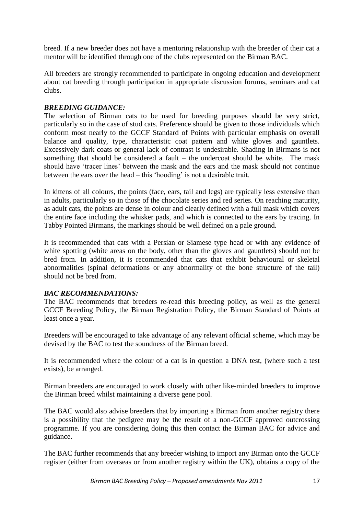breed. If a new breeder does not have a mentoring relationship with the breeder of their cat a mentor will be identified through one of the clubs represented on the Birman BAC.

All breeders are strongly recommended to participate in ongoing education and development about cat breeding through participation in appropriate discussion forums, seminars and cat clubs.

## *BREEDING GUIDANCE:*

The selection of Birman cats to be used for breeding purposes should be very strict, particularly so in the case of stud cats. Preference should be given to those individuals which conform most nearly to the GCCF Standard of Points with particular emphasis on overall balance and quality, type, characteristic coat pattern and white gloves and gauntlets. Excessively dark coats or general lack of contrast is undesirable. Shading in Birmans is not something that should be considered a fault – the undercoat should be white. The mask should have 'tracer lines' between the mask and the ears and the mask should not continue between the ears over the head – this 'hooding' is not a desirable trait.

In kittens of all colours, the points (face, ears, tail and legs) are typically less extensive than in adults, particularly so in those of the chocolate series and red series. On reaching maturity, as adult cats, the points are dense in colour and clearly defined with a full mask which covers the entire face including the whisker pads, and which is connected to the ears by tracing. In Tabby Pointed Birmans, the markings should be well defined on a pale ground.

It is recommended that cats with a Persian or Siamese type head or with any evidence of white spotting (white areas on the body, other than the gloves and gauntlets) should not be bred from. In addition, it is recommended that cats that exhibit behavioural or skeletal abnormalities (spinal deformations or any abnormality of the bone structure of the tail) should not be bred from.

#### *BAC RECOMMENDATIONS:*

The BAC recommends that breeders re-read this breeding policy, as well as the general GCCF Breeding Policy, the Birman Registration Policy, the Birman Standard of Points at least once a year.

Breeders will be encouraged to take advantage of any relevant official scheme, which may be devised by the BAC to test the soundness of the Birman breed.

It is recommended where the colour of a cat is in question a DNA test, (where such a test exists), be arranged.

Birman breeders are encouraged to work closely with other like-minded breeders to improve the Birman breed whilst maintaining a diverse gene pool.

The BAC would also advise breeders that by importing a Birman from another registry there is a possibility that the pedigree may be the result of a non-GCCF approved outcrossing programme. If you are considering doing this then contact the Birman BAC for advice and guidance.

The BAC further recommends that any breeder wishing to import any Birman onto the GCCF register (either from overseas or from another registry within the UK), obtains a copy of the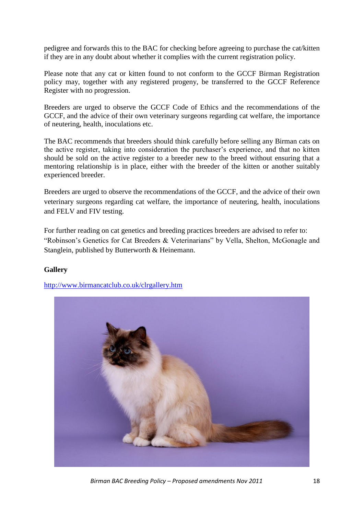pedigree and forwards this to the BAC for checking before agreeing to purchase the cat/kitten if they are in any doubt about whether it complies with the current registration policy.

Please note that any cat or kitten found to not conform to the GCCF Birman Registration policy may, together with any registered progeny, be transferred to the GCCF Reference Register with no progression.

Breeders are urged to observe the GCCF Code of Ethics and the recommendations of the GCCF, and the advice of their own veterinary surgeons regarding cat welfare, the importance of neutering, health, inoculations etc.

The BAC recommends that breeders should think carefully before selling any Birman cats on the active register, taking into consideration the purchaser's experience, and that no kitten should be sold on the active register to a breeder new to the breed without ensuring that a mentoring relationship is in place, either with the breeder of the kitten or another suitably experienced breeder.

Breeders are urged to observe the recommendations of the GCCF, and the advice of their own veterinary surgeons regarding cat welfare, the importance of neutering, health, inoculations and FELV and FIV testing.

For further reading on cat genetics and breeding practices breeders are advised to refer to: "Robinson's Genetics for Cat Breeders & Veterinarians" by Vella, Shelton, McGonagle and Stanglein, published by Butterworth & Heinemann.

# **Gallery**

<http://www.birmancatclub.co.uk/clrgallery.htm>



*Birman BAC Breeding Policy – Proposed amendments Nov 2011* 18